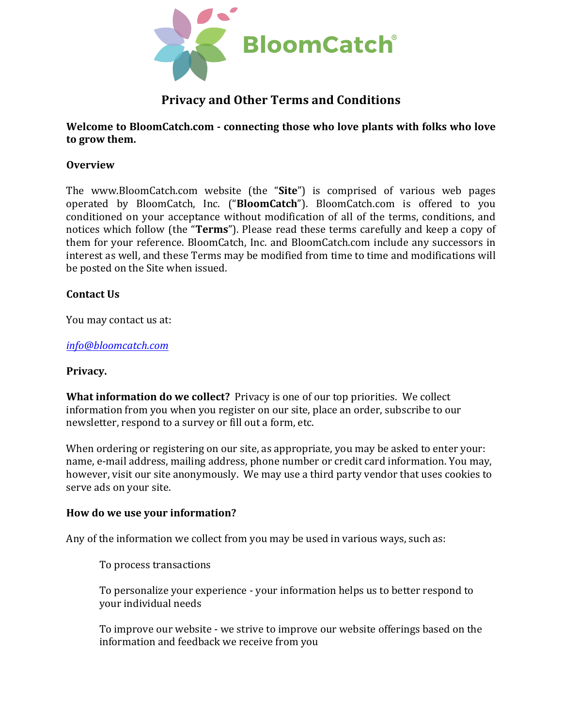

# **Privacy and Other Terms and Conditions**

**Welcome to BloomCatch.com - connecting those who love plants with folks who love** to grow them.

#### **Overview**

The www.BloomCatch.com website (the "Site") is comprised of various web pages operated by BloomCatch, Inc. ("**BloomCatch**"). BloomCatch.com is offered to you conditioned on your acceptance without modification of all of the terms, conditions, and notices which follow (the "Terms"). Please read these terms carefully and keep a copy of them for your reference. BloomCatch, Inc. and BloomCatch.com include any successors in interest as well, and these Terms may be modified from time to time and modifications will be posted on the Site when issued.

### **Contact Us**

You may contact us at:

*info@bloomcatch.com*

#### Privacy.

**What information do we collect?** Privacy is one of our top priorities. We collect information from you when you register on our site, place an order, subscribe to our newsletter, respond to a survey or fill out a form, etc.

When ordering or registering on our site, as appropriate, you may be asked to enter your: name, e-mail address, mailing address, phone number or credit card information. You may, however, visit our site anonymously. We may use a third party vendor that uses cookies to serve ads on your site.

#### How do we use your information?

Any of the information we collect from you may be used in various ways, such as:

To process transactions

To personalize your experience - your information helps us to better respond to your individual needs

To improve our website - we strive to improve our website offerings based on the information and feedback we receive from you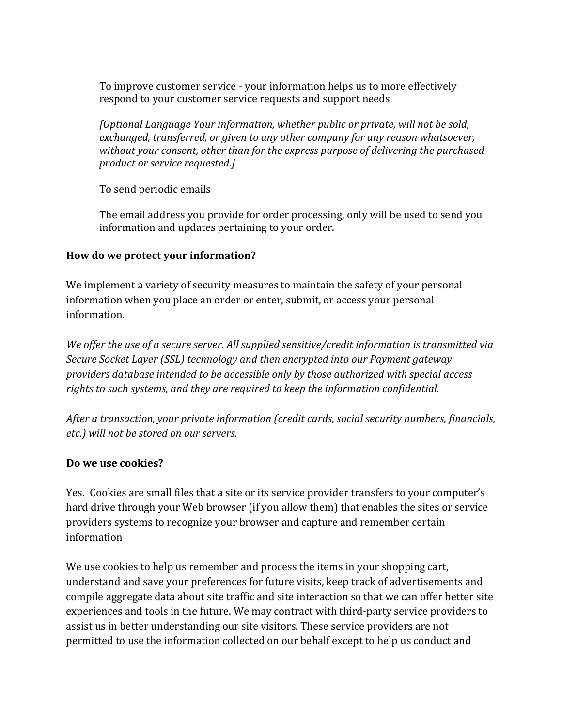To improve customer service - your information helps us to more effectively respond to your customer service requests and support needs

[Optional Language Your information, whether public or private, will not be sold, *exchanged, transferred, or given to any other company for any reason whatsoever,* without your consent, other than for the express purpose of delivering the purchased *product or service requested.]* 

To send periodic emails

The email address you provide for order processing, only will be used to send you information and updates pertaining to your order.

### How do we protect your information?

We implement a variety of security measures to maintain the safety of your personal information when you place an order or enter, submit, or access your personal information.

*We offer the use of a secure server. All supplied sensitive/credit information is transmitted via Secure Socket Layer (SSL)* technology and then encrypted into our Payment gateway *providers database intended to be accessible only by those authorized with special access* rights to such systems, and they are required to keep the information confidential.

After a transaction, your private information (credit cards, social security numbers, financials, *etc.)* will not be stored on our servers.

#### **Do we use cookies?**

Yes. Cookies are small files that a site or its service provider transfers to your computer's hard drive through your Web browser (if you allow them) that enables the sites or service providers systems to recognize your browser and capture and remember certain information

We use cookies to help us remember and process the items in your shopping cart, understand and save your preferences for future visits, keep track of advertisements and compile aggregate data about site traffic and site interaction so that we can offer better site experiences and tools in the future. We may contract with third-party service providers to assist us in better understanding our site visitors. These service providers are not permitted to use the information collected on our behalf except to help us conduct and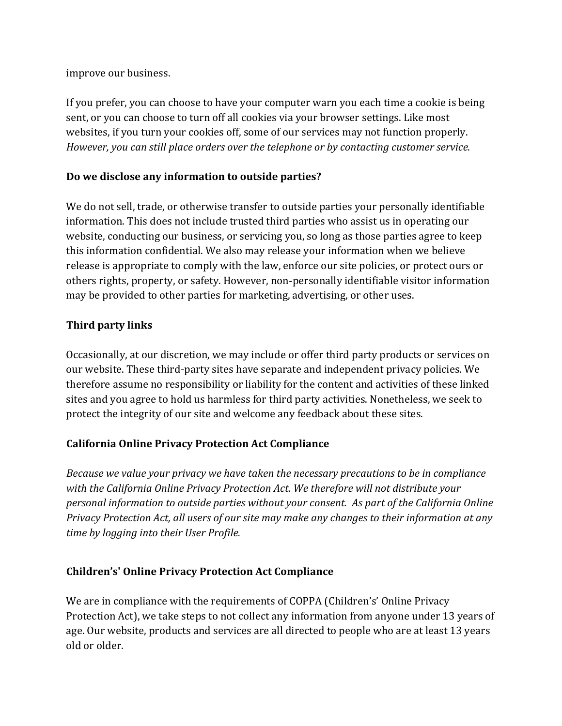improve our business.

If you prefer, you can choose to have your computer warn you each time a cookie is being sent, or you can choose to turn off all cookies via your browser settings. Like most websites, if you turn your cookies off, some of our services may not function properly. *However, you can still place orders over the telephone or by contacting customer service.* 

## Do we disclose any information to outside parties?

We do not sell, trade, or otherwise transfer to outside parties your personally identifiable information. This does not include trusted third parties who assist us in operating our website, conducting our business, or servicing you, so long as those parties agree to keep this information confidential. We also may release your information when we believe release is appropriate to comply with the law, enforce our site policies, or protect ours or others rights, property, or safety. However, non-personally identifiable visitor information may be provided to other parties for marketing, advertising, or other uses.

## **Third party links**

Occasionally, at our discretion, we may include or offer third party products or services on our website. These third-party sites have separate and independent privacy policies. We therefore assume no responsibility or liability for the content and activities of these linked sites and you agree to hold us harmless for third party activities. Nonetheless, we seek to protect the integrity of our site and welcome any feedback about these sites.

## **California Online Privacy Protection Act Compliance**

*Because* we value your privacy we have taken the necessary precautions to be in compliance with the California Online Privacy Protection Act. We therefore will not distribute your *personal information to outside parties without your consent. As part of the California Online Privacy Protection Act, all users of our site may make any changes to their information at any* time by logging into their User Profile.

## **Children's' Online Privacy Protection Act Compliance**

We are in compliance with the requirements of COPPA (Children's' Online Privacy Protection Act), we take steps to not collect any information from anyone under 13 years of age. Our website, products and services are all directed to people who are at least 13 years old or older.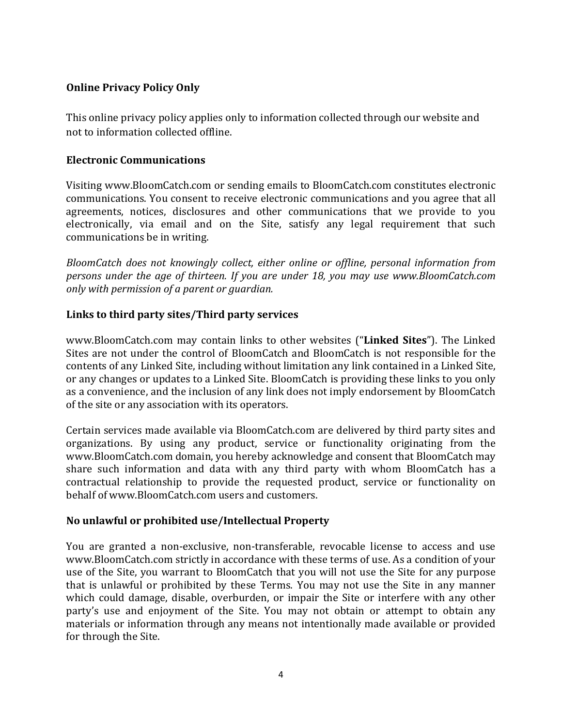### **Online Privacy Policy Only**

This online privacy policy applies only to information collected through our website and not to information collected offline.

#### **Electronic Communications**

Visiting www.BloomCatch.com or sending emails to BloomCatch.com constitutes electronic communications. You consent to receive electronic communications and you agree that all agreements, notices, disclosures and other communications that we provide to you electronically, via email and on the Site, satisfy any legal requirement that such communications be in writing.

*BloomCatch does not knowingly collect, either online or offline, personal information from persons under the age of thirteen. If you are under 18, you may use www.BloomCatch.com only with permission of a parent or guardian.*

### Links to third party sites/Third party services

www.BloomCatch.com may contain links to other websites ("Linked Sites"). The Linked Sites are not under the control of BloomCatch and BloomCatch is not responsible for the contents of any Linked Site, including without limitation any link contained in a Linked Site, or any changes or updates to a Linked Site. BloomCatch is providing these links to you only as a convenience, and the inclusion of any link does not imply endorsement by BloomCatch of the site or any association with its operators.

Certain services made available via BloomCatch.com are delivered by third party sites and organizations. By using any product, service or functionality originating from the www.BloomCatch.com domain, you hereby acknowledge and consent that BloomCatch may share such information and data with any third party with whom BloomCatch has a contractual relationship to provide the requested product, service or functionality on behalf of www.BloomCatch.com users and customers.

#### **No unlawful or prohibited use/Intellectual Property**

You are granted a non-exclusive, non-transferable, revocable license to access and use www.BloomCatch.com strictly in accordance with these terms of use. As a condition of your use of the Site, you warrant to BloomCatch that you will not use the Site for any purpose that is unlawful or prohibited by these Terms. You may not use the Site in any manner which could damage, disable, overburden, or impair the Site or interfere with any other party's use and enjoyment of the Site. You may not obtain or attempt to obtain any materials or information through any means not intentionally made available or provided for through the Site.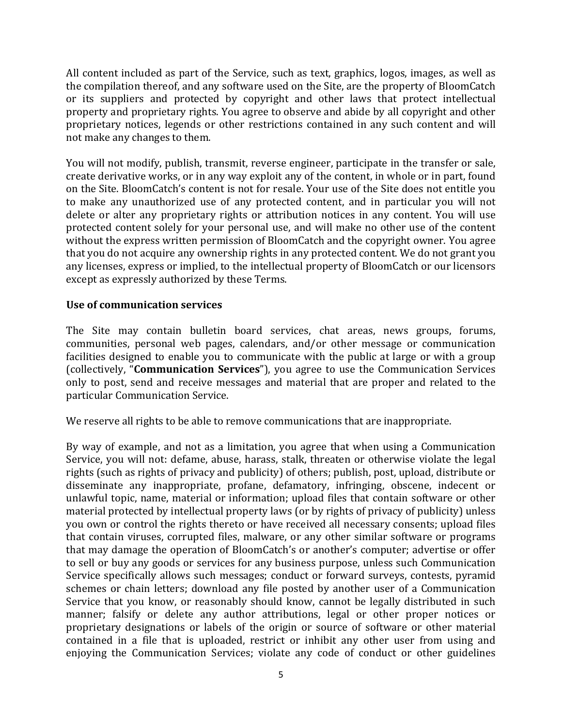All content included as part of the Service, such as text, graphics, logos, images, as well as the compilation thereof, and any software used on the Site, are the property of BloomCatch or its suppliers and protected by copyright and other laws that protect intellectual property and proprietary rights. You agree to observe and abide by all copyright and other proprietary notices, legends or other restrictions contained in any such content and will not make any changes to them.

You will not modify, publish, transmit, reverse engineer, participate in the transfer or sale, create derivative works, or in any way exploit any of the content, in whole or in part, found on the Site. BloomCatch's content is not for resale. Your use of the Site does not entitle you to make any unauthorized use of any protected content, and in particular you will not delete or alter any proprietary rights or attribution notices in any content. You will use protected content solely for your personal use, and will make no other use of the content without the express written permission of BloomCatch and the copyright owner. You agree that you do not acquire any ownership rights in any protected content. We do not grant you any licenses, express or implied, to the intellectual property of BloomCatch or our licensors except as expressly authorized by these Terms.

#### Use of communication services

The Site may contain bulletin board services, chat areas, news groups, forums, communities, personal web pages, calendars, and/or other message or communication facilities designed to enable you to communicate with the public at large or with a group (collectively, "**Communication Services**"), you agree to use the Communication Services only to post, send and receive messages and material that are proper and related to the particular Communication Service.

We reserve all rights to be able to remove communications that are inappropriate.

By way of example, and not as a limitation, you agree that when using a Communication Service, you will not: defame, abuse, harass, stalk, threaten or otherwise violate the legal rights (such as rights of privacy and publicity) of others; publish, post, upload, distribute or disseminate any inappropriate, profane, defamatory, infringing, obscene, indecent or unlawful topic, name, material or information; upload files that contain software or other material protected by intellectual property laws (or by rights of privacy of publicity) unless you own or control the rights thereto or have received all necessary consents; upload files that contain viruses, corrupted files, malware, or any other similar software or programs that may damage the operation of BloomCatch's or another's computer; advertise or offer to sell or buy any goods or services for any business purpose, unless such Communication Service specifically allows such messages; conduct or forward surveys, contests, pyramid schemes or chain letters; download any file posted by another user of a Communication Service that you know, or reasonably should know, cannot be legally distributed in such manner; falsify or delete any author attributions, legal or other proper notices or proprietary designations or labels of the origin or source of software or other material contained in a file that is uploaded, restrict or inhibit any other user from using and enjoying the Communication Services; violate any code of conduct or other guidelines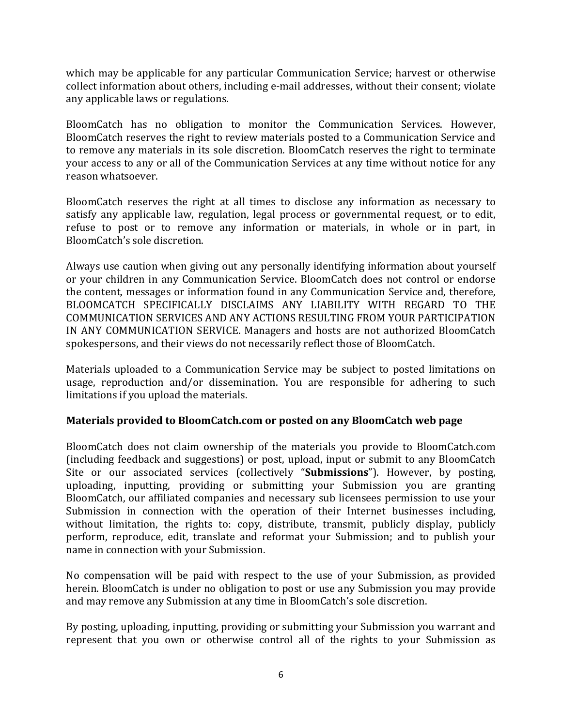which may be applicable for any particular Communication Service; harvest or otherwise collect information about others, including e-mail addresses, without their consent; violate any applicable laws or regulations.

BloomCatch has no obligation to monitor the Communication Services. However, BloomCatch reserves the right to review materials posted to a Communication Service and to remove any materials in its sole discretion. BloomCatch reserves the right to terminate your access to any or all of the Communication Services at any time without notice for any reason whatsoever.

BloomCatch reserves the right at all times to disclose any information as necessary to satisfy any applicable law, regulation, legal process or governmental request, or to edit, refuse to post or to remove any information or materials, in whole or in part, in BloomCatch's sole discretion.

Always use caution when giving out any personally identifying information about yourself or your children in any Communication Service. BloomCatch does not control or endorse the content, messages or information found in any Communication Service and, therefore, BLOOMCATCH SPECIFICALLY DISCLAIMS ANY LIABILITY WITH REGARD TO THE COMMUNICATION SERVICES AND ANY ACTIONS RESULTING FROM YOUR PARTICIPATION IN ANY COMMUNICATION SERVICE. Managers and hosts are not authorized BloomCatch spokespersons, and their views do not necessarily reflect those of BloomCatch.

Materials uploaded to a Communication Service may be subject to posted limitations on usage, reproduction and/or dissemination. You are responsible for adhering to such limitations if you upload the materials.

#### **Materials provided to BloomCatch.com or posted on any BloomCatch web page**

BloomCatch does not claim ownership of the materials you provide to BloomCatch.com (including feedback and suggestions) or post, upload, input or submit to any BloomCatch Site or our associated services (collectively "Submissions"). However, by posting, uploading, inputting, providing or submitting your Submission you are granting BloomCatch, our affiliated companies and necessary sub licensees permission to use your Submission in connection with the operation of their Internet businesses including, without limitation, the rights to: copy, distribute, transmit, publicly display, publicly perform, reproduce, edit, translate and reformat your Submission; and to publish your name in connection with your Submission.

No compensation will be paid with respect to the use of your Submission, as provided herein. BloomCatch is under no obligation to post or use any Submission you may provide and may remove any Submission at any time in BloomCatch's sole discretion.

By posting, uploading, inputting, providing or submitting your Submission you warrant and represent that you own or otherwise control all of the rights to your Submission as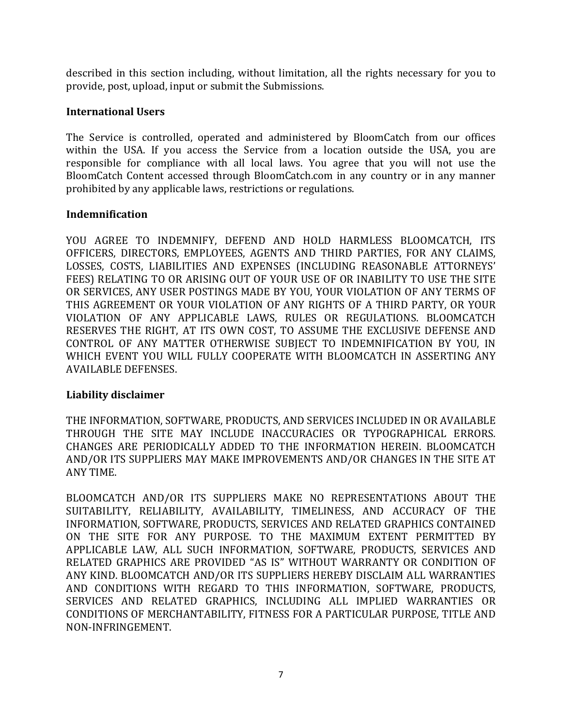described in this section including, without limitation, all the rights necessary for you to provide, post, upload, input or submit the Submissions.

#### **International Users**

The Service is controlled, operated and administered by BloomCatch from our offices within the USA. If you access the Service from a location outside the USA, you are responsible for compliance with all local laws. You agree that you will not use the BloomCatch Content accessed through BloomCatch.com in any country or in any manner prohibited by any applicable laws, restrictions or regulations.

#### **Indemnification**

YOU AGREE TO INDEMNIFY, DEFEND AND HOLD HARMLESS BLOOMCATCH, ITS OFFICERS, DIRECTORS, EMPLOYEES, AGENTS AND THIRD PARTIES, FOR ANY CLAIMS, LOSSES, COSTS, LIABILITIES AND EXPENSES (INCLUDING REASONABLE ATTORNEYS' FEES) RELATING TO OR ARISING OUT OF YOUR USE OF OR INABILITY TO USE THE SITE OR SERVICES, ANY USER POSTINGS MADE BY YOU, YOUR VIOLATION OF ANY TERMS OF THIS AGREEMENT OR YOUR VIOLATION OF ANY RIGHTS OF A THIRD PARTY, OR YOUR VIOLATION OF ANY APPLICABLE LAWS, RULES OR REGULATIONS. BLOOMCATCH RESERVES THE RIGHT, AT ITS OWN COST, TO ASSUME THE EXCLUSIVE DEFENSE AND CONTROL OF ANY MATTER OTHERWISE SUBJECT TO INDEMNIFICATION BY YOU, IN WHICH EVENT YOU WILL FULLY COOPERATE WITH BLOOMCATCH IN ASSERTING ANY AVAILABLE DEFENSES.

#### **Liability disclaimer**

THE INFORMATION, SOFTWARE, PRODUCTS, AND SERVICES INCLUDED IN OR AVAILABLE THROUGH THE SITE MAY INCLUDE INACCURACIES OR TYPOGRAPHICAL ERRORS. CHANGES ARE PERIODICALLY ADDED TO THE INFORMATION HEREIN. BLOOMCATCH AND/OR ITS SUPPLIERS MAY MAKE IMPROVEMENTS AND/OR CHANGES IN THE SITE AT ANY TIME.

BLOOMCATCH AND/OR ITS SUPPLIERS MAKE NO REPRESENTATIONS ABOUT THE SUITABILITY, RELIABILITY, AVAILABILITY, TIMELINESS, AND ACCURACY OF THE INFORMATION, SOFTWARE, PRODUCTS, SERVICES AND RELATED GRAPHICS CONTAINED ON THE SITE FOR ANY PURPOSE. TO THE MAXIMUM EXTENT PERMITTED BY APPLICABLE LAW, ALL SUCH INFORMATION, SOFTWARE, PRODUCTS, SERVICES AND RELATED GRAPHICS ARE PROVIDED "AS IS" WITHOUT WARRANTY OR CONDITION OF ANY KIND. BLOOMCATCH AND/OR ITS SUPPLIERS HEREBY DISCLAIM ALL WARRANTIES AND CONDITIONS WITH REGARD TO THIS INFORMATION, SOFTWARE, PRODUCTS, SERVICES AND RELATED GRAPHICS, INCLUDING ALL IMPLIED WARRANTIES OR CONDITIONS OF MERCHANTABILITY, FITNESS FOR A PARTICULAR PURPOSE, TITLE AND NON-INFRINGEMENT.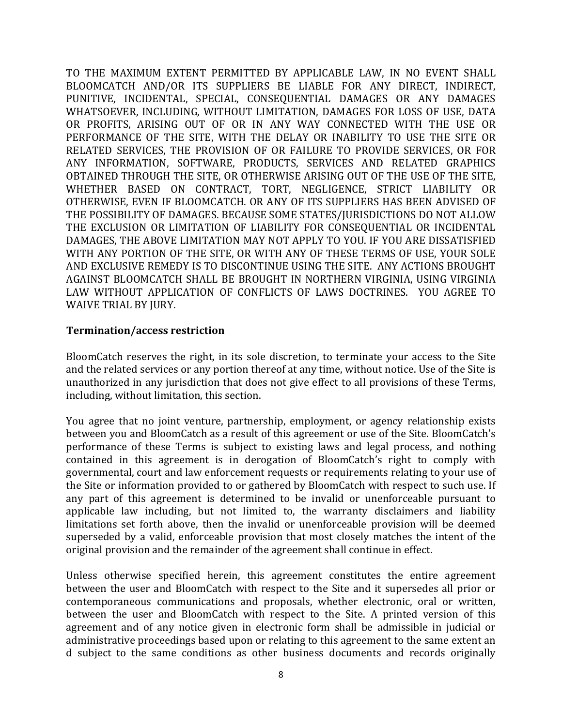TO THE MAXIMUM EXTENT PERMITTED BY APPLICABLE LAW, IN NO EVENT SHALL BLOOMCATCH AND/OR ITS SUPPLIERS BE LIABLE FOR ANY DIRECT, INDIRECT, PUNITIVE, INCIDENTAL, SPECIAL, CONSEQUENTIAL DAMAGES OR ANY DAMAGES WHATSOEVER, INCLUDING, WITHOUT LIMITATION, DAMAGES FOR LOSS OF USE, DATA OR PROFITS, ARISING OUT OF OR IN ANY WAY CONNECTED WITH THE USE OR PERFORMANCE OF THE SITE, WITH THE DELAY OR INABILITY TO USE THE SITE OR RELATED SERVICES, THE PROVISION OF OR FAILURE TO PROVIDE SERVICES, OR FOR ANY INFORMATION, SOFTWARE, PRODUCTS, SERVICES AND RELATED GRAPHICS OBTAINED THROUGH THE SITE, OR OTHERWISE ARISING OUT OF THE USE OF THE SITE. WHETHER BASED ON CONTRACT, TORT, NEGLIGENCE, STRICT LIABILITY OR OTHERWISE, EVEN IF BLOOMCATCH. OR ANY OF ITS SUPPLIERS HAS BEEN ADVISED OF THE POSSIBILITY OF DAMAGES. BECAUSE SOME STATES/JURISDICTIONS DO NOT ALLOW THE EXCLUSION OR LIMITATION OF LIABILITY FOR CONSEQUENTIAL OR INCIDENTAL DAMAGES, THE ABOVE LIMITATION MAY NOT APPLY TO YOU. IF YOU ARE DISSATISFIED WITH ANY PORTION OF THE SITE, OR WITH ANY OF THESE TERMS OF USE, YOUR SOLE AND EXCLUSIVE REMEDY IS TO DISCONTINUE USING THE SITE. ANY ACTIONS BROUGHT AGAINST BLOOMCATCH SHALL BE BROUGHT IN NORTHERN VIRGINIA, USING VIRGINIA LAW WITHOUT APPLICATION OF CONFLICTS OF LAWS DOCTRINES. YOU AGREE TO WAIVE TRIAL BY JURY.

#### **Termination/access restriction**

BloomCatch reserves the right, in its sole discretion, to terminate your access to the Site and the related services or any portion thereof at any time, without notice. Use of the Site is unauthorized in any jurisdiction that does not give effect to all provisions of these Terms, including, without limitation, this section.

You agree that no joint venture, partnership, employment, or agency relationship exists between you and BloomCatch as a result of this agreement or use of the Site. BloomCatch's performance of these Terms is subject to existing laws and legal process, and nothing contained in this agreement is in derogation of BloomCatch's right to comply with governmental, court and law enforcement requests or requirements relating to your use of the Site or information provided to or gathered by BloomCatch with respect to such use. If any part of this agreement is determined to be invalid or unenforceable pursuant to applicable law including, but not limited to, the warranty disclaimers and liability limitations set forth above, then the invalid or unenforceable provision will be deemed superseded by a valid, enforceable provision that most closely matches the intent of the original provision and the remainder of the agreement shall continue in effect.

Unless otherwise specified herein, this agreement constitutes the entire agreement between the user and BloomCatch with respect to the Site and it supersedes all prior or contemporaneous communications and proposals, whether electronic, oral or written, between the user and BloomCatch with respect to the Site. A printed version of this agreement and of any notice given in electronic form shall be admissible in judicial or administrative proceedings based upon or relating to this agreement to the same extent an d subject to the same conditions as other business documents and records originally